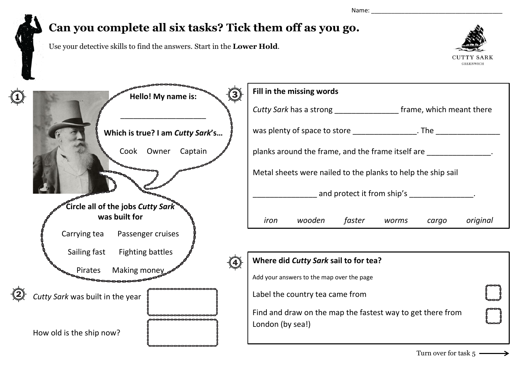Name: \_\_\_\_\_\_\_\_\_\_\_\_\_\_\_\_\_\_\_\_\_\_\_\_\_\_\_\_\_\_\_\_\_\_\_\_\_\_\_

## **Can you complete all six tasks? Tick them off as you go.**

Use your detective skills to find the answers. Start in the **Lower Hold**.



| $\bf{(3)}$<br>Hello! My name is:        | Fill in the missing words                                                      |  |
|-----------------------------------------|--------------------------------------------------------------------------------|--|
|                                         | Cutty Sark has a strong ______________________ frame, which meant there        |  |
| Which is true? I am Cutty Sark's        |                                                                                |  |
| Cook Owner<br>Captain                   | planks around the frame, and the frame itself are                              |  |
|                                         | Metal sheets were nailed to the planks to help the ship sail                   |  |
|                                         | and protect it from ship's [19] and protect it from ship's                     |  |
| Circle all of the jobs Cutty Sark       |                                                                                |  |
| was built for                           | faster<br>wooden<br>original<br>iron<br>worms<br>cargo                         |  |
| Carrying tea<br>Passenger cruises       |                                                                                |  |
| Sailing fast<br><b>Fighting battles</b> |                                                                                |  |
|                                         | Where did Cutty Sark sail to for tea?                                          |  |
| Making money<br>Pirates                 |                                                                                |  |
|                                         | Add your answers to the map over the page                                      |  |
| Cutty Sark was built in the year        | Label the country tea came from                                                |  |
|                                         | Find and draw on the map the fastest way to get there from<br>London (by sea!) |  |
| How old is the ship now?                |                                                                                |  |